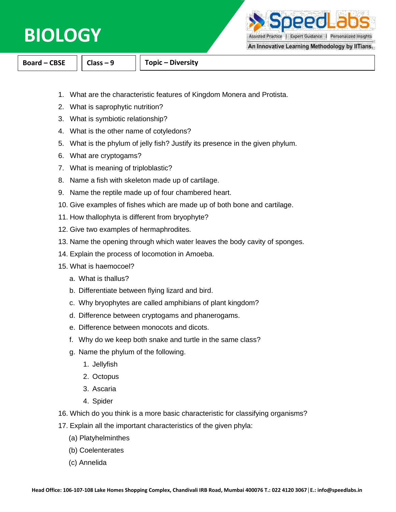

**DAPC** 

Assisted Practice | Expert Guidance | Personalized Insights

An Innovative Learning Methodology by IITians.

**Board – CBSE Class – 9 Topic – Diversity**

- 1. What are the characteristic features of Kingdom Monera and Protista.
- 2. What is saprophytic nutrition?
- 3. What is symbiotic relationship?
- 4. What is the other name of cotyledons?
- 5. What is the phylum of jelly fish? Justify its presence in the given phylum.
- 6. What are cryptogams?
- 7. What is meaning of triploblastic?
- 8. Name a fish with skeleton made up of cartilage.
- 9. Name the reptile made up of four chambered heart.
- 10. Give examples of fishes which are made up of both bone and cartilage.
- 11. How thallophyta is different from bryophyte?
- 12. Give two examples of hermaphrodites.
- 13. Name the opening through which water leaves the body cavity of sponges.
- 14. Explain the process of locomotion in Amoeba.
- 15. What is haemocoel?
	- a. What is thallus?
	- b. Differentiate between flying lizard and bird.
	- c. Why bryophytes are called amphibians of plant kingdom?
	- d. Difference between cryptogams and phanerogams.
	- e. Difference between monocots and dicots.
	- f. Why do we keep both snake and turtle in the same class?
	- g. Name the phylum of the following.
		- 1. Jellyfish
		- 2. Octopus
		- 3. Ascaria
		- 4. Spider
- 16. Which do you think is a more basic characteristic for classifying organisms?
- 17. Explain all the important characteristics of the given phyla:
	- (a) Platyhelminthes
	- (b) Coelenterates
	- (c) Annelida